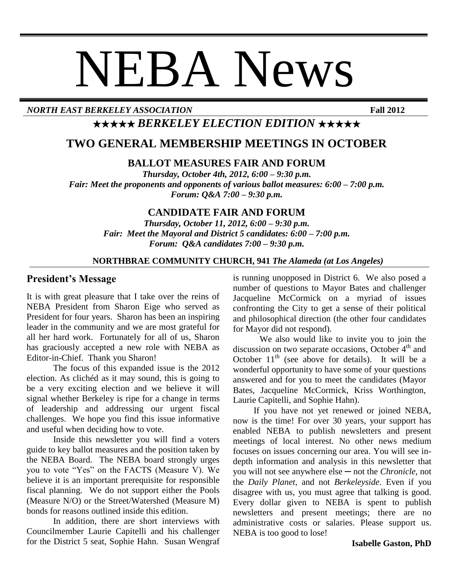# NEBA News

*NORTH EAST BERKELEY ASSOCIATION* **Fall 2012**

# ★★★★★ *BERKELEY ELECTION EDITION* ★★★★★

## **TWO GENERAL MEMBERSHIP MEETINGS IN OCTOBER**

#### **BALLOT MEASURES FAIR AND FORUM**

*Thursday, October 4th, 2012, 6:00 – 9:30 p.m. Fair: Meet the proponents and opponents of various ballot measures: 6:00 – 7:00 p.m. Forum: Q&A 7:00 – 9:30 p.m.*

#### **CANDIDATE FAIR AND FORUM**

*Thursday, October 11, 2012, 6:00 – 9:30 p.m. Fair: Meet the Mayoral and District 5 candidates: 6:00 – 7:00 p.m. Forum: Q&A candidates 7:00 – 9:30 p.m.*

#### **NORTHBRAE COMMUNITY CHURCH, 941** *The Alameda (at Los Angeles)*

#### **President's Message**

It is with great pleasure that I take over the reins of NEBA President from Sharon Eige who served as President for four years. Sharon has been an inspiring leader in the community and we are most grateful for all her hard work. Fortunately for all of us, Sharon has graciously accepted a new role with NEBA as Editor-in-Chief. Thank you Sharon!

The focus of this expanded issue is the 2012 election. As clichéd as it may sound, this is going to be a very exciting election and we believe it will signal whether Berkeley is ripe for a change in terms of leadership and addressing our urgent fiscal challenges. We hope you find this issue informative and useful when deciding how to vote.

Inside this newsletter you will find a voters guide to key ballot measures and the position taken by the NEBA Board. The NEBA board strongly urges you to vote "Yes" on the FACTS (Measure V). We believe it is an important prerequisite for responsible fiscal planning. We do not support either the Pools (Measure N/O) or the Street/Watershed (Measure M) bonds for reasons outlined inside this edition.

In addition, there are short interviews with Councilmember Laurie Capitelli and his challenger for the District 5 seat, Sophie Hahn. Susan Wengraf is running unopposed in District 6. We also posed a number of questions to Mayor Bates and challenger Jacqueline McCormick on a myriad of issues confronting the City to get a sense of their political and philosophical direction (the other four candidates for Mayor did not respond).

We also would like to invite you to join the discussion on two separate occasions, October 4<sup>th</sup> and October  $11<sup>th</sup>$  (see above for details). It will be a wonderful opportunity to have some of your questions answered and for you to meet the candidates (Mayor Bates, Jacqueline McCormick, Kriss Worthington, Laurie Capitelli, and Sophie Hahn).

If you have not yet renewed or joined NEBA, now is the time! For over 30 years, your support has enabled NEBA to publish newsletters and present meetings of local interest. No other news medium focuses on issues concerning our area. You will see indepth information and analysis in this newsletter that you will not see anywhere else ─ not the *Chronicle*, not the *Daily Planet*, and not *Berkeleyside*. Even if you disagree with us, you must agree that talking is good. Every dollar given to NEBA is spent to publish newsletters and present meetings; there are no administrative costs or salaries. Please support us. NEBA is too good to lose!

#### **Isabelle Gaston, PhD**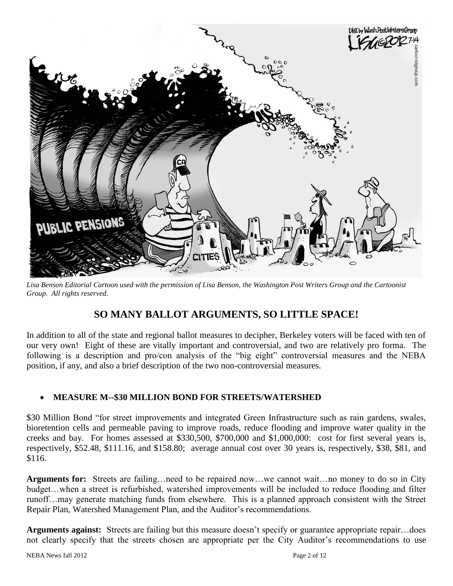

*Lisa Benson Editorial Cartoon used with the permission of Lisa Benson, the Washington Post Writers Group and the Cartoonist Group. All rights reserved.*

## **SO MANY BALLOT ARGUMENTS, SO LITTLE SPACE!**

In addition to all of the state and regional ballot measures to decipher, Berkeley voters will be faced with ten of our very own! Eight of these are vitally important and controversial, and two are relatively pro forma. The following is a description and pro/con analysis of the "big eight" controversial measures and the NEBA position, if any, and also a brief description of the two non-controversial measures.

#### **MEASURE M--\$30 MILLION BOND FOR STREETS/WATERSHED**

\$30 Million Bond "for street improvements and integrated Green Infrastructure such as rain gardens, swales, bioretention cells and permeable paving to improve roads, reduce flooding and improve water quality in the creeks and bay. For homes assessed at \$330,500, \$700,000 and \$1,000,000: cost for first several years is, respectively, \$52.48, \$111.16, and \$158.80; average annual cost over 30 years is, respectively, \$38, \$81, and \$116.

**Arguments for:** Streets are failing…need to be repaired now…we cannot wait…no money to do so in City budget…when a street is refurbished, watershed improvements will be included to reduce flooding and filter runoff…may generate matching funds from elsewhere. This is a planned approach consistent with the Street Repair Plan, Watershed Management Plan, and the Auditor's recommendations.

**Arguments against:** Streets are failing but this measure doesn't specify or guarantee appropriate repair…does not clearly specify that the streets chosen are appropriate per the City Auditor's recommendations to use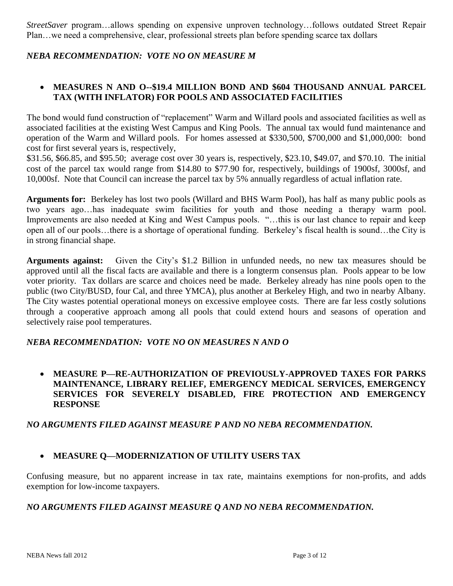*StreetSaver* program…allows spending on expensive unproven technology…follows outdated Street Repair Plan…we need a comprehensive, clear, professional streets plan before spending scarce tax dollars

#### *NEBA RECOMMENDATION: VOTE NO ON MEASURE M*

#### **MEASURES N AND O--\$19.4 MILLION BOND AND \$604 THOUSAND ANNUAL PARCEL TAX (WITH INFLATOR) FOR POOLS AND ASSOCIATED FACILITIES**

The bond would fund construction of "replacement" Warm and Willard pools and associated facilities as well as associated facilities at the existing West Campus and King Pools. The annual tax would fund maintenance and operation of the Warm and Willard pools. For homes assessed at \$330,500, \$700,000 and \$1,000,000: bond cost for first several years is, respectively,

\$31.56, \$66.85, and \$95.50; average cost over 30 years is, respectively, \$23.10, \$49.07, and \$70.10. The initial cost of the parcel tax would range from \$14.80 to \$77.90 for, respectively, buildings of 1900sf, 3000sf, and 10,000sf. Note that Council can increase the parcel tax by 5% annually regardless of actual inflation rate.

**Arguments for:** Berkeley has lost two pools (Willard and BHS Warm Pool), has half as many public pools as two years ago…has inadequate swim facilities for youth and those needing a therapy warm pool. Improvements are also needed at King and West Campus pools. "…this is our last chance to repair and keep open all of our pools…there is a shortage of operational funding. Berkeley's fiscal health is sound…the City is in strong financial shape.

**Arguments against:** Given the City's \$1.2 Billion in unfunded needs, no new tax measures should be approved until all the fiscal facts are available and there is a longterm consensus plan. Pools appear to be low voter priority. Tax dollars are scarce and choices need be made. Berkeley already has nine pools open to the public (two City/BUSD, four Cal, and three YMCA), plus another at Berkeley High, and two in nearby Albany. The City wastes potential operational moneys on excessive employee costs. There are far less costly solutions through a cooperative approach among all pools that could extend hours and seasons of operation and selectively raise pool temperatures.

#### *NEBA RECOMMENDATION: VOTE NO ON MEASURES N AND O*

 **MEASURE P—RE-AUTHORIZATION OF PREVIOUSLY-APPROVED TAXES FOR PARKS MAINTENANCE, LIBRARY RELIEF, EMERGENCY MEDICAL SERVICES, EMERGENCY SERVICES FOR SEVERELY DISABLED, FIRE PROTECTION AND EMERGENCY RESPONSE**

#### *NO ARGUMENTS FILED AGAINST MEASURE P AND NO NEBA RECOMMENDATION.*

#### **MEASURE Q—MODERNIZATION OF UTILITY USERS TAX**

Confusing measure, but no apparent increase in tax rate, maintains exemptions for non-profits, and adds exemption for low-income taxpayers.

#### *NO ARGUMENTS FILED AGAINST MEASURE Q AND NO NEBA RECOMMENDATION.*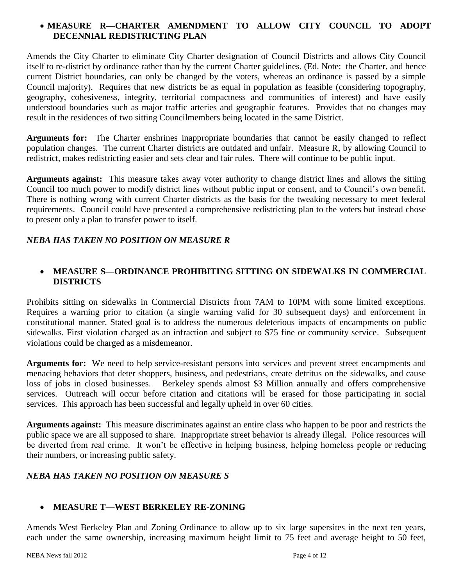#### **MEASURE R—CHARTER AMENDMENT TO ALLOW CITY COUNCIL TO ADOPT DECENNIAL REDISTRICTING PLAN**

Amends the City Charter to eliminate City Charter designation of Council Districts and allows City Council itself to re-district by ordinance rather than by the current Charter guidelines. (Ed. Note: the Charter, and hence current District boundaries, can only be changed by the voters, whereas an ordinance is passed by a simple Council majority). Requires that new districts be as equal in population as feasible (considering topography, geography, cohesiveness, integrity, territorial compactness and communities of interest) and have easily understood boundaries such as major traffic arteries and geographic features. Provides that no changes may result in the residences of two sitting Councilmembers being located in the same District.

**Arguments for:** The Charter enshrines inappropriate boundaries that cannot be easily changed to reflect population changes. The current Charter districts are outdated and unfair. Measure R, by allowing Council to redistrict, makes redistricting easier and sets clear and fair rules. There will continue to be public input.

**Arguments against:** This measure takes away voter authority to change district lines and allows the sitting Council too much power to modify district lines without public input or consent, and to Council's own benefit. There is nothing wrong with current Charter districts as the basis for the tweaking necessary to meet federal requirements. Council could have presented a comprehensive redistricting plan to the voters but instead chose to present only a plan to transfer power to itself.

#### *NEBA HAS TAKEN NO POSITION ON MEASURE R*

#### **MEASURE S—ORDINANCE PROHIBITING SITTING ON SIDEWALKS IN COMMERCIAL DISTRICTS**

Prohibits sitting on sidewalks in Commercial Districts from 7AM to 10PM with some limited exceptions. Requires a warning prior to citation (a single warning valid for 30 subsequent days) and enforcement in constitutional manner. Stated goal is to address the numerous deleterious impacts of encampments on public sidewalks. First violation charged as an infraction and subject to \$75 fine or community service. Subsequent violations could be charged as a misdemeanor.

**Arguments for:** We need to help service-resistant persons into services and prevent street encampments and menacing behaviors that deter shoppers, business, and pedestrians, create detritus on the sidewalks, and cause loss of jobs in closed businesses. Berkeley spends almost \$3 Million annually and offers comprehensive services. Outreach will occur before citation and citations will be erased for those participating in social services. This approach has been successful and legally upheld in over 60 cities.

**Arguments against:** This measure discriminates against an entire class who happen to be poor and restricts the public space we are all supposed to share. Inappropriate street behavior is already illegal. Police resources will be diverted from real crime. It won't be effective in helping business, helping homeless people or reducing their numbers, or increasing public safety.

#### *NEBA HAS TAKEN NO POSITION ON MEASURE S*

#### **MEASURE T—WEST BERKELEY RE-ZONING**

Amends West Berkeley Plan and Zoning Ordinance to allow up to six large supersites in the next ten years, each under the same ownership, increasing maximum height limit to 75 feet and average height to 50 feet,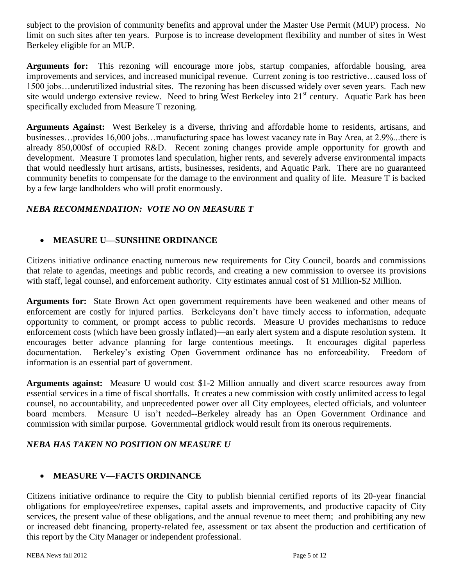subject to the provision of community benefits and approval under the Master Use Permit (MUP) process. No limit on such sites after ten years. Purpose is to increase development flexibility and number of sites in West Berkeley eligible for an MUP.

**Arguments for:** This rezoning will encourage more jobs, startup companies, affordable housing, area improvements and services, and increased municipal revenue. Current zoning is too restrictive…caused loss of 1500 jobs…underutilized industrial sites. The rezoning has been discussed widely over seven years. Each new site would undergo extensive review. Need to bring West Berkeley into  $21<sup>st</sup>$  century. Aquatic Park has been specifically excluded from Measure T rezoning.

**Arguments Against:** West Berkeley is a diverse, thriving and affordable home to residents, artisans, and businesses…provides 16,000 jobs…manufacturing space has lowest vacancy rate in Bay Area, at 2.9%...there is already 850,000sf of occupied R&D. Recent zoning changes provide ample opportunity for growth and development. Measure T promotes land speculation, higher rents, and severely adverse environmental impacts that would needlessly hurt artisans, artists, businesses, residents, and Aquatic Park. There are no guaranteed community benefits to compensate for the damage to the environment and quality of life. Measure T is backed by a few large landholders who will profit enormously.

#### *NEBA RECOMMENDATION: VOTE NO ON MEASURE T*

#### **MEASURE U—SUNSHINE ORDINANCE**

Citizens initiative ordinance enacting numerous new requirements for City Council, boards and commissions that relate to agendas, meetings and public records, and creating a new commission to oversee its provisions with staff, legal counsel, and enforcement authority. City estimates annual cost of \$1 Million-\$2 Million.

**Arguments for:** State Brown Act open government requirements have been weakened and other means of enforcement are costly for injured parties. Berkeleyans don't have timely access to information, adequate opportunity to comment, or prompt access to public records. Measure U provides mechanisms to reduce enforcement costs (which have been grossly inflated)—an early alert system and a dispute resolution system. It encourages better advance planning for large contentious meetings. It encourages digital paperless documentation. Berkeley's existing Open Government ordinance has no enforceability. Freedom of information is an essential part of government.

**Arguments against:** Measure U would cost \$1-2 Million annually and divert scarce resources away from essential services in a time of fiscal shortfalls. It creates a new commission with costly unlimited access to legal counsel, no accountability, and unprecedented power over all City employees, elected officials, and volunteer board members. Measure U isn't needed--Berkeley already has an Open Government Ordinance and commission with similar purpose. Governmental gridlock would result from its onerous requirements.

#### *NEBA HAS TAKEN NO POSITION ON MEASURE U*

#### **MEASURE V—FACTS ORDINANCE**

Citizens initiative ordinance to require the City to publish biennial certified reports of its 20-year financial obligations for employee/retiree expenses, capital assets and improvements, and productive capacity of City services, the present value of these obligations, and the annual revenue to meet them; and prohibiting any new or increased debt financing, property-related fee, assessment or tax absent the production and certification of this report by the City Manager or independent professional.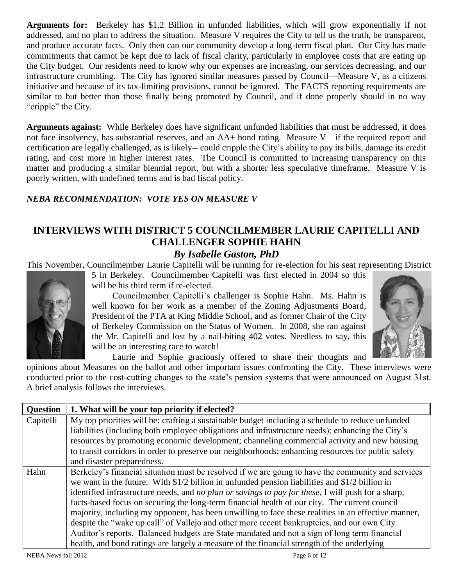**Arguments for:** Berkeley has \$1.2 Billion in unfunded liabilities, which will grow exponentially if not addressed, and no plan to address the situation. Measure V requires the City to tell us the truth, be transparent, and produce accurate facts. Only then can our community develop a long-term fiscal plan. Our City has made commitments that cannot be kept due to lack of fiscal clarity, particularly in employee costs that are eating up the City budget. Our residents need to know why our expenses are increasing, our services decreasing, and our infrastructure crumbling. The City has ignored similar measures passed by Council—Measure V, as a citizens initiative and because of its tax-limiting provisions, cannot be ignored. The FACTS reporting requirements are similar to but better than those finally being promoted by Council, and if done properly should in no way "cripple" the City.

**Arguments against:** While Berkeley does have significant unfunded liabilities that must be addressed, it does not face insolvency, has substantial reserves, and an AA+ bond rating. Measure V—if the required report and certification are legally challenged, as is likely-- could cripple the City's ability to pay its bills, damage its credit rating, and cost more in higher interest rates. The Council is committed to increasing transparency on this matter and producing a similar biennial report, but with a shorter less speculative timeframe. Measure V is poorly written, with undefined terms and is bad fiscal policy.

#### *NEBA RECOMMENDATION: VOTE YES ON MEASURE V*

# **INTERVIEWS WITH DISTRICT 5 COUNCILMEMBER LAURIE CAPITELLI AND CHALLENGER SOPHIE HAHN**

#### *By Isabelle Gaston, PhD*

This November, Councilmember Laurie Capitelli will be running for re-election for his seat representing District 5 in Berkeley. Councilmember Capitelli was first elected in 2004 so this

will be his third term if re-elected.

Councilmember Capitelli's challenger is Sophie Hahn. Ms. Hahn is well known for her work as a member of the Zoning Adjustments Board, President of the PTA at King Middle School, and as former Chair of the City of Berkeley Commission on the Status of Women. In 2008, she ran against the Mr. Capitelli and lost by a nail-biting 402 votes. Needless to say, this will be an interesting race to watch!



Laurie and Sophie graciously offered to share their thoughts and

opinions about Measures on the ballot and other important issues confronting the City. These interviews were conducted prior to the cost-cutting changes to the state's pension systems that were announced on August 31st. A brief analysis follows the interviews.

| <b>Question</b> | 1. What will be your top priority if elected?                                                              |
|-----------------|------------------------------------------------------------------------------------------------------------|
| Capitelli       | My top priorities will be: crafting a sustainable budget including a schedule to reduce unfunded           |
|                 | liabilities (including both employee obligations and infrastructure needs); enhancing the City's           |
|                 | resources by promoting economic development; channeling commercial activity and new housing                |
|                 | to transit corridors in order to preserve our neighborhoods; enhancing resources for public safety         |
|                 | and disaster preparedness.                                                                                 |
| Hahn            | Berkeley's financial situation must be resolved if we are going to have the community and services         |
|                 | we want in the future. With $$1/2$ billion in unfunded pension liabilities and $$1/2$ billion in           |
|                 | identified infrastructure needs, and <i>no plan or savings to pay for these</i> , I will push for a sharp, |
|                 | facts-based focus on securing the long-term financial health of our city. The current council              |
|                 | majority, including my opponent, has been unwilling to face these realities in an effective manner,        |
|                 | despite the "wake up call" of Vallejo and other more recent bankruptcies, and our own City                 |
|                 | Auditor's reports. Balanced budgets are State mandated and not a sign of long term financial               |
|                 | health, and bond ratings are largely a measure of the financial strength of the underlying                 |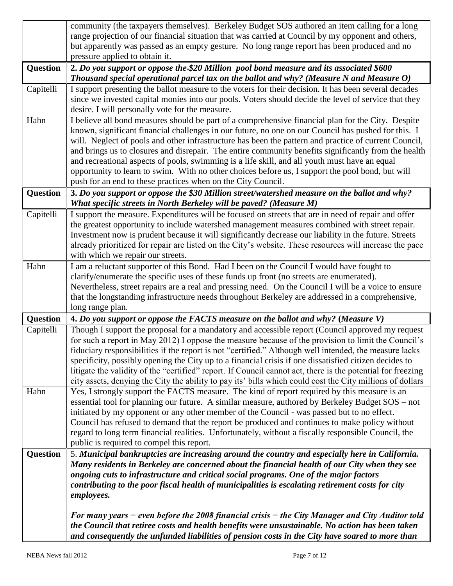|                 | community (the taxpayers themselves). Berkeley Budget SOS authored an item calling for a long                                                                                                           |  |  |  |
|-----------------|---------------------------------------------------------------------------------------------------------------------------------------------------------------------------------------------------------|--|--|--|
|                 | range projection of our financial situation that was carried at Council by my opponent and others,                                                                                                      |  |  |  |
|                 | but apparently was passed as an empty gesture. No long range report has been produced and no                                                                                                            |  |  |  |
|                 | pressure applied to obtain it.                                                                                                                                                                          |  |  |  |
| <b>Question</b> | 2. Do you support or oppose the-\$20 Million pool bond measure and its associated \$600                                                                                                                 |  |  |  |
|                 | Thousand special operational parcel tax on the ballot and why? (Measure N and Measure $O$ )                                                                                                             |  |  |  |
| Capitelli       | I support presenting the ballot measure to the voters for their decision. It has been several decades                                                                                                   |  |  |  |
|                 | since we invested capital monies into our pools. Voters should decide the level of service that they                                                                                                    |  |  |  |
|                 | desire. I will personally vote for the measure.                                                                                                                                                         |  |  |  |
| Hahn            | I believe all bond measures should be part of a comprehensive financial plan for the City. Despite                                                                                                      |  |  |  |
|                 | known, significant financial challenges in our future, no one on our Council has pushed for this. I                                                                                                     |  |  |  |
|                 | will. Neglect of pools and other infrastructure has been the pattern and practice of current Council,                                                                                                   |  |  |  |
|                 | and brings us to closures and disrepair. The entire community benefits significantly from the health                                                                                                    |  |  |  |
|                 | and recreational aspects of pools, swimming is a life skill, and all youth must have an equal                                                                                                           |  |  |  |
|                 | opportunity to learn to swim. With no other choices before us, I support the pool bond, but will                                                                                                        |  |  |  |
|                 | push for an end to these practices when on the City Council.                                                                                                                                            |  |  |  |
| <b>Question</b> | 3. Do you support or oppose the \$30 Million street/watershed measure on the ballot and why?                                                                                                            |  |  |  |
|                 | What specific streets in North Berkeley will be paved? (Measure M)                                                                                                                                      |  |  |  |
| Capitelli       | I support the measure. Expenditures will be focused on streets that are in need of repair and offer                                                                                                     |  |  |  |
|                 | the greatest opportunity to include watershed management measures combined with street repair.<br>Investment now is prudent because it will significantly decrease our liability in the future. Streets |  |  |  |
|                 | already prioritized for repair are listed on the City's website. These resources will increase the pace                                                                                                 |  |  |  |
|                 | with which we repair our streets.                                                                                                                                                                       |  |  |  |
| Hahn            | I am a reluctant supporter of this Bond. Had I been on the Council I would have fought to                                                                                                               |  |  |  |
|                 | clarify/enumerate the specific uses of these funds up front (no streets are enumerated).                                                                                                                |  |  |  |
|                 | Nevertheless, street repairs are a real and pressing need. On the Council I will be a voice to ensure                                                                                                   |  |  |  |
|                 | that the longstanding infrastructure needs throughout Berkeley are addressed in a comprehensive,                                                                                                        |  |  |  |
|                 | long range plan.                                                                                                                                                                                        |  |  |  |
| <b>Question</b> | 4. Do you support or oppose the FACTS measure on the ballot and why? (Measure V)                                                                                                                        |  |  |  |
| Capitelli       | Though I support the proposal for a mandatory and accessible report (Council approved my request                                                                                                        |  |  |  |
|                 | for such a report in May 2012) I oppose the measure because of the provision to limit the Council's                                                                                                     |  |  |  |
|                 | fiduciary responsibilities if the report is not "certified." Although well intended, the measure lacks                                                                                                  |  |  |  |
|                 | specificity, possibly opening the City up to a financial crisis if one dissatisfied citizen decides to                                                                                                  |  |  |  |
|                 | litigate the validity of the "certified" report. If Council cannot act, there is the potential for freezing                                                                                             |  |  |  |
|                 | city assets, denying the City the ability to pay its' bills which could cost the City millions of dollars                                                                                               |  |  |  |
| Hahn            | Yes, I strongly support the FACTS measure. The kind of report required by this measure is an                                                                                                            |  |  |  |
|                 | essential tool for planning our future. A similar measure, authored by Berkeley Budget SOS – not                                                                                                        |  |  |  |
|                 | initiated by my opponent or any other member of the Council - was passed but to no effect.                                                                                                              |  |  |  |
|                 | Council has refused to demand that the report be produced and continues to make policy without                                                                                                          |  |  |  |
|                 | regard to long term financial realities. Unfortunately, without a fiscally responsible Council, the                                                                                                     |  |  |  |
|                 | public is required to compel this report.                                                                                                                                                               |  |  |  |
| <b>Question</b> | 5. Municipal bankruptcies are increasing around the country and especially here in California.                                                                                                          |  |  |  |
|                 | Many residents in Berkeley are concerned about the financial health of our City when they see                                                                                                           |  |  |  |
|                 | ongoing cuts to infrastructure and critical social programs. One of the major factors                                                                                                                   |  |  |  |
|                 | contributing to the poor fiscal health of municipalities is escalating retirement costs for city                                                                                                        |  |  |  |
|                 | employees.                                                                                                                                                                                              |  |  |  |
|                 | For many years – even before the 2008 financial crisis – the City Manager and City Auditor told                                                                                                         |  |  |  |
|                 | the Council that retiree costs and health benefits were unsustainable. No action has been taken                                                                                                         |  |  |  |
|                 | and consequently the unfunded liabilities of pension costs in the City have soared to more than                                                                                                         |  |  |  |
|                 |                                                                                                                                                                                                         |  |  |  |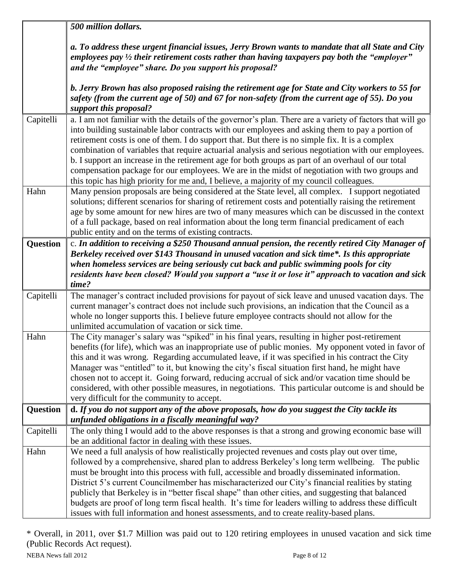|                 | 500 million dollars.                                                                                                                                                                                     |  |  |  |  |
|-----------------|----------------------------------------------------------------------------------------------------------------------------------------------------------------------------------------------------------|--|--|--|--|
|                 | a. To address these urgent financial issues, Jerry Brown wants to mandate that all State and City                                                                                                        |  |  |  |  |
|                 | employees pay $\frac{1}{2}$ their retirement costs rather than having taxpayers pay both the "employer"                                                                                                  |  |  |  |  |
|                 | and the "employee" share. Do you support his proposal?                                                                                                                                                   |  |  |  |  |
|                 | b. Jerry Brown has also proposed raising the retirement age for State and City workers to 55 for                                                                                                         |  |  |  |  |
|                 | safety (from the current age of 50) and 67 for non-safety (from the current age of 55). Do you                                                                                                           |  |  |  |  |
|                 | support this proposal?                                                                                                                                                                                   |  |  |  |  |
| Capitelli       | a. I am not familiar with the details of the governor's plan. There are a variety of factors that will go                                                                                                |  |  |  |  |
|                 | into building sustainable labor contracts with our employees and asking them to pay a portion of<br>retirement costs is one of them. I do support that. But there is no simple fix. It is a complex      |  |  |  |  |
|                 | combination of variables that require actuarial analysis and serious negotiation with our employees.                                                                                                     |  |  |  |  |
|                 | b. I support an increase in the retirement age for both groups as part of an overhaul of our total                                                                                                       |  |  |  |  |
|                 | compensation package for our employees. We are in the midst of negotiation with two groups and                                                                                                           |  |  |  |  |
|                 | this topic has high priority for me and, I believe, a majority of my council colleagues.                                                                                                                 |  |  |  |  |
| Hahn            | Many pension proposals are being considered at the State level, all complex. I support negotiated                                                                                                        |  |  |  |  |
|                 | solutions; different scenarios for sharing of retirement costs and potentially raising the retirement<br>age by some amount for new hires are two of many measures which can be discussed in the context |  |  |  |  |
|                 | of a full package, based on real information about the long term financial predicament of each                                                                                                           |  |  |  |  |
|                 | public entity and on the terms of existing contracts.                                                                                                                                                    |  |  |  |  |
| <b>Question</b> | c. In addition to receiving a \$250 Thousand annual pension, the recently retired City Manager of                                                                                                        |  |  |  |  |
|                 | Berkeley received over \$143 Thousand in unused vacation and sick time*. Is this appropriate                                                                                                             |  |  |  |  |
|                 | when homeless services are being seriously cut back and public swimming pools for city                                                                                                                   |  |  |  |  |
|                 | residents have been closed? Would you support a "use it or lose it" approach to vacation and sick                                                                                                        |  |  |  |  |
| Capitelli       | time?<br>The manager's contract included provisions for payout of sick leave and unused vacation days. The                                                                                               |  |  |  |  |
|                 | current manager's contract does not include such provisions, an indication that the Council as a                                                                                                         |  |  |  |  |
|                 | whole no longer supports this. I believe future employee contracts should not allow for the                                                                                                              |  |  |  |  |
|                 | unlimited accumulation of vacation or sick time.                                                                                                                                                         |  |  |  |  |
| Hahn            | The City manager's salary was "spiked" in his final years, resulting in higher post-retirement                                                                                                           |  |  |  |  |
|                 | benefits (for life), which was an inappropriate use of public monies. My opponent voted in favor of                                                                                                      |  |  |  |  |
|                 | this and it was wrong. Regarding accumulated leave, if it was specified in his contract the City                                                                                                         |  |  |  |  |
|                 | Manager was "entitled" to it, but knowing the city's fiscal situation first hand, he might have<br>chosen not to accept it. Going forward, reducing accrual of sick and/or vacation time should be       |  |  |  |  |
|                 | considered, with other possible measures, in negotiations. This particular outcome is and should be                                                                                                      |  |  |  |  |
|                 | very difficult for the community to accept.                                                                                                                                                              |  |  |  |  |
| <b>Question</b> | d. If you do not support any of the above proposals, how do you suggest the City tackle its                                                                                                              |  |  |  |  |
|                 | unfunded obligations in a fiscally meaningful way?                                                                                                                                                       |  |  |  |  |
| Capitelli       | The only thing I would add to the above responses is that a strong and growing economic base will                                                                                                        |  |  |  |  |
|                 | be an additional factor in dealing with these issues.                                                                                                                                                    |  |  |  |  |
| Hahn            | We need a full analysis of how realistically projected revenues and costs play out over time,<br>followed by a comprehensive, shared plan to address Berkeley's long term wellbeing. The public          |  |  |  |  |
|                 | must be brought into this process with full, accessible and broadly disseminated information.                                                                                                            |  |  |  |  |
|                 | District 5's current Councilmember has mischaracterized our City's financial realities by stating                                                                                                        |  |  |  |  |
|                 | publicly that Berkeley is in "better fiscal shape" than other cities, and suggesting that balanced                                                                                                       |  |  |  |  |
|                 | budgets are proof of long term fiscal health. It's time for leaders willing to address these difficult                                                                                                   |  |  |  |  |
|                 | issues with full information and honest assessments, and to create reality-based plans.                                                                                                                  |  |  |  |  |

NEBA News fall 2012 Page 8 of 12 \* Overall, in 2011, over \$1.7 Million was paid out to 120 retiring employees in unused vacation and sick time (Public Records Act request).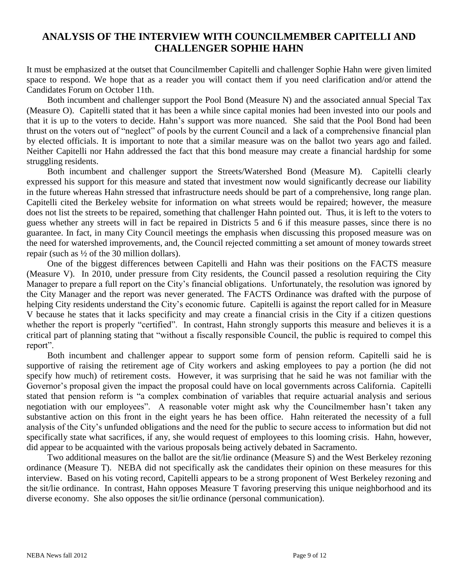## **ANALYSIS OF THE INTERVIEW WITH COUNCILMEMBER CAPITELLI AND CHALLENGER SOPHIE HAHN**

It must be emphasized at the outset that Councilmember Capitelli and challenger Sophie Hahn were given limited space to respond. We hope that as a reader you will contact them if you need clarification and/or attend the Candidates Forum on October 11th.

Both incumbent and challenger support the Pool Bond (Measure N) and the associated annual Special Tax (Measure O). Capitelli stated that it has been a while since capital monies had been invested into our pools and that it is up to the voters to decide. Hahn's support was more nuanced. She said that the Pool Bond had been thrust on the voters out of "neglect" of pools by the current Council and a lack of a comprehensive financial plan by elected officials. It is important to note that a similar measure was on the ballot two years ago and failed. Neither Capitelli nor Hahn addressed the fact that this bond measure may create a financial hardship for some struggling residents.

Both incumbent and challenger support the Streets/Watershed Bond (Measure M). Capitelli clearly expressed his support for this measure and stated that investment now would significantly decrease our liability in the future whereas Hahn stressed that infrastructure needs should be part of a comprehensive, long range plan. Capitelli cited the Berkeley website for information on what streets would be repaired; however, the measure does not list the streets to be repaired, something that challenger Hahn pointed out. Thus, it is left to the voters to guess whether any streets will in fact be repaired in Districts 5 and 6 if this measure passes, since there is no guarantee. In fact, in many City Council meetings the emphasis when discussing this proposed measure was on the need for watershed improvements, and, the Council rejected committing a set amount of money towards street repair (such as ½ of the 30 million dollars).

One of the biggest differences between Capitelli and Hahn was their positions on the FACTS measure (Measure V). In 2010, under pressure from City residents, the Council passed a resolution requiring the City Manager to prepare a full report on the City's financial obligations. Unfortunately, the resolution was ignored by the City Manager and the report was never generated. The FACTS Ordinance was drafted with the purpose of helping City residents understand the City's economic future. Capitelli is against the report called for in Measure V because he states that it lacks specificity and may create a financial crisis in the City if a citizen questions whether the report is properly "certified". In contrast, Hahn strongly supports this measure and believes it is a critical part of planning stating that "without a fiscally responsible Council, the public is required to compel this report".

Both incumbent and challenger appear to support some form of pension reform. Capitelli said he is supportive of raising the retirement age of City workers and asking employees to pay a portion (he did not specify how much) of retirement costs. However, it was surprising that he said he was not familiar with the Governor's proposal given the impact the proposal could have on local governments across California. Capitelli stated that pension reform is "a complex combination of variables that require actuarial analysis and serious negotiation with our employees". A reasonable voter might ask why the Councilmember hasn't taken any substantive action on this front in the eight years he has been office. Hahn reiterated the necessity of a full analysis of the City's unfunded obligations and the need for the public to secure access to information but did not specifically state what sacrifices, if any, she would request of employees to this looming crisis. Hahn, however, did appear to be acquainted with the various proposals being actively debated in Sacramento.

Two additional measures on the ballot are the sit/lie ordinance (Measure S) and the West Berkeley rezoning ordinance (Measure T). NEBA did not specifically ask the candidates their opinion on these measures for this interview. Based on his voting record, Capitelli appears to be a strong proponent of West Berkeley rezoning and the sit/lie ordinance. In contrast, Hahn opposes Measure T favoring preserving this unique neighborhood and its diverse economy. She also opposes the sit/lie ordinance (personal communication).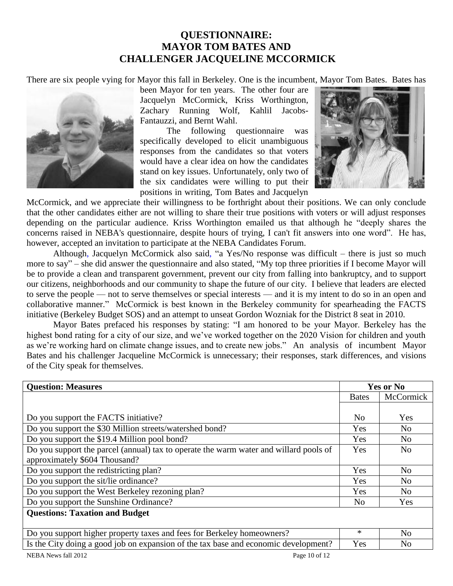## **QUESTIONNAIRE: MAYOR TOM BATES AND CHALLENGER JACQUELINE MCCORMICK**

There are six people vying for Mayor this fall in Berkeley. One is the incumbent, Mayor Tom Bates. Bates has



been Mayor for ten years. The other four are Jacquelyn McCormick, Kriss Worthington, Zachary Running Wolf, Kahlil Jacobs-Fantauzzi, and Bernt Wahl.

The following questionnaire was specifically developed to elicit unambiguous responses from the candidates so that voters would have a clear idea on how the candidates stand on key issues. Unfortunately, only two of the six candidates were willing to put their positions in writing, Tom Bates and Jacquelyn



McCormick, and we appreciate their willingness to be forthright about their positions. We can only conclude that the other candidates either are not willing to share their true positions with voters or will adjust responses depending on the particular audience. Kriss Worthington emailed us that although he "deeply shares the concerns raised in NEBA's questionnaire, despite hours of trying, I can't fit answers into one word". He has, however, accepted an invitation to participate at the NEBA Candidates Forum.

Although, Jacquelyn McCormick also said, "a Yes/No response was difficult – there is just so much more to say" – she did answer the questionnaire and also stated, "My top three priorities if I become Mayor will be to provide a clean and transparent government, prevent our city from falling into bankruptcy, and to support our citizens, neighborhoods and our community to shape the future of our city. I believe that leaders are elected to serve the people — not to serve themselves or special interests — and it is my intent to do so in an open and collaborative manner." McCormick is best known in the Berkeley community for spearheading the FACTS initiative (Berkeley Budget SOS) and an attempt to unseat Gordon Wozniak for the District 8 seat in 2010.

Mayor Bates prefaced his responses by stating: "I am honored to be your Mayor. Berkeley has the highest bond rating for a city of our size, and we've worked together on the 2020 Vision for children and youth as we're working hard on climate change issues, and to create new jobs." An analysis of incumbent Mayor Bates and his challenger Jacqueline McCormick is unnecessary; their responses, stark differences, and visions of the City speak for themselves.

| <b>Question: Measures</b>                                                             |              | <b>Yes or No</b> |  |
|---------------------------------------------------------------------------------------|--------------|------------------|--|
|                                                                                       | <b>Bates</b> | McCormick        |  |
|                                                                                       |              |                  |  |
| Do you support the FACTS initiative?                                                  |              | Yes              |  |
| Do you support the \$30 Million streets/watershed bond?                               |              | N <sub>0</sub>   |  |
| Do you support the \$19.4 Million pool bond?                                          |              | No               |  |
| Do you support the parcel (annual) tax to operate the warm water and willard pools of |              | N <sub>0</sub>   |  |
| approximately \$604 Thousand?                                                         |              |                  |  |
| Do you support the redistricting plan?                                                | Yes          | N <sub>0</sub>   |  |
| Do you support the sit/lie ordinance?                                                 | Yes          | N <sub>0</sub>   |  |
| Do you support the West Berkeley rezoning plan?                                       | Yes          | N <sub>0</sub>   |  |
| Do you support the Sunshine Ordinance?                                                |              | Yes              |  |
| <b>Questions: Taxation and Budget</b>                                                 |              |                  |  |
|                                                                                       |              |                  |  |
| Do you support higher property taxes and fees for Berkeley homeowners?                |              | No               |  |
| Is the City doing a good job on expansion of the tax base and economic development?   |              | N <sub>0</sub>   |  |
| Page 10 of 12<br>NEBA News fall 2012                                                  |              |                  |  |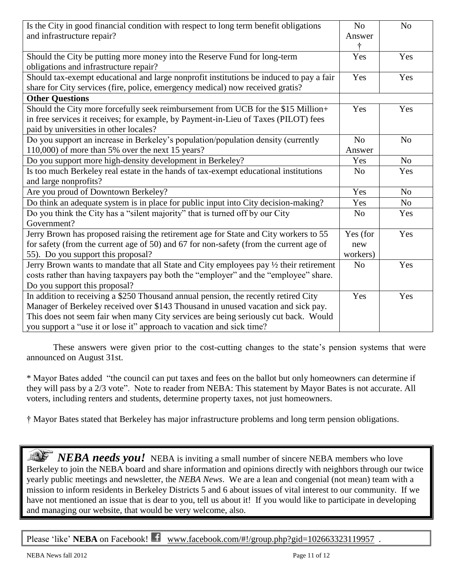| Is the City in good financial condition with respect to long term benefit obligations<br>and infrastructure repair?                                                                                                                                                                                                                      |                | N <sub>o</sub> |
|------------------------------------------------------------------------------------------------------------------------------------------------------------------------------------------------------------------------------------------------------------------------------------------------------------------------------------------|----------------|----------------|
| Should the City be putting more money into the Reserve Fund for long-term<br>obligations and infrastructure repair?                                                                                                                                                                                                                      | Yes            | Yes            |
| Should tax-exempt educational and large nonprofit institutions be induced to pay a fair<br>share for City services (fire, police, emergency medical) now received gratis?                                                                                                                                                                |                | Yes            |
| <b>Other Questions</b>                                                                                                                                                                                                                                                                                                                   |                |                |
| Should the City more forcefully seek reimbursement from UCB for the \$15 Million+<br>in free services it receives; for example, by Payment-in-Lieu of Taxes (PILOT) fees<br>paid by universities in other locales?                                                                                                                       | Yes            | Yes            |
| Do you support an increase in Berkeley's population/population density (currently                                                                                                                                                                                                                                                        | N <sub>o</sub> | N <sub>o</sub> |
| 110,000) of more than 5% over the next 15 years?                                                                                                                                                                                                                                                                                         | Answer         |                |
| Do you support more high-density development in Berkeley?                                                                                                                                                                                                                                                                                |                | N <sub>o</sub> |
| Is too much Berkeley real estate in the hands of tax-exempt educational institutions<br>and large nonprofits?                                                                                                                                                                                                                            |                | Yes            |
| Are you proud of Downtown Berkeley?                                                                                                                                                                                                                                                                                                      |                | N <sub>o</sub> |
| Do think an adequate system is in place for public input into City decision-making?                                                                                                                                                                                                                                                      | Yes            | No             |
| Do you think the City has a "silent majority" that is turned off by our City<br>Government?                                                                                                                                                                                                                                              |                | Yes            |
| Jerry Brown has proposed raising the retirement age for State and City workers to 55<br>for safety (from the current age of 50) and 67 for non-safety (from the current age of<br>55). Do you support this proposal?                                                                                                                     |                | Yes            |
| Jerry Brown wants to mandate that all State and City employees pay 1/2 their retirement<br>costs rather than having taxpayers pay both the "employer" and the "employee" share.<br>Do you support this proposal?                                                                                                                         |                | Yes            |
| In addition to receiving a \$250 Thousand annual pension, the recently retired City<br>Manager of Berkeley received over \$143 Thousand in unused vacation and sick pay.<br>This does not seem fair when many City services are being seriously cut back. Would<br>you support a "use it or lose it" approach to vacation and sick time? |                | Yes            |

These answers were given prior to the cost-cutting changes to the state's pension systems that were announced on August 31st.

\* Mayor Bates added "the council can put taxes and fees on the ballot but only homeowners can determine if they will pass by a 2/3 vote". Note to reader from NEBA: This statement by Mayor Bates is not accurate. All voters, including renters and students, determine property taxes, not just homeowners.

† Mayor Bates stated that Berkeley has major infrastructure problems and long term pension obligations.

*NEBA needs you!* NEBA is inviting a small number of sincere NEBA members who love Berkeley to join the NEBA board and share information and opinions directly with neighbors through our twice yearly public meetings and newsletter, the *NEBA News*. We are a lean and congenial (not mean) team with a mission to inform residents in Berkeley Districts 5 and 6 about issues of vital interest to our community. If we have not mentioned an issue that is dear to you, tell us about it! If you would like to participate in developing and managing our website, that would be very welcome, also.

Please 'like' **NEBA** on Facebook! www.facebook.com/#!/group.php?gid=102663323119957.